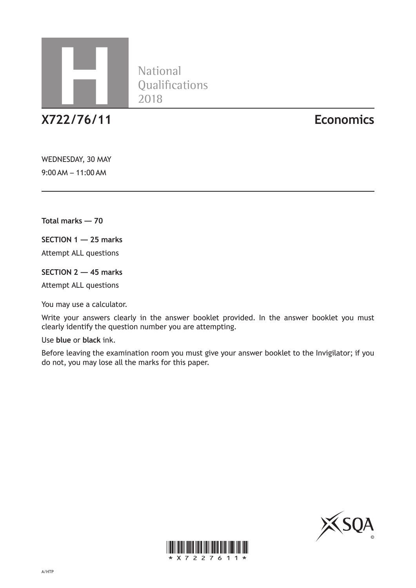

National<br>Qualifications

**X722/76/11 Economics**

WEDNESDAY, 30 MAY 9:00 AM – 11:00 AM

**Total marks — 70**

**SECTION 1 — 25 marks**

Attempt ALL questions

**SECTION 2 — 45 marks**

Attempt ALL questions

You may use a calculator.

Write your answers clearly in the answer booklet provided. In the answer booklet you must clearly identify the question number you are attempting.

Use **blue** or **black** ink.

Before leaving the examination room you must give your answer booklet to the Invigilator; if you do not, you may lose all the marks for this paper.



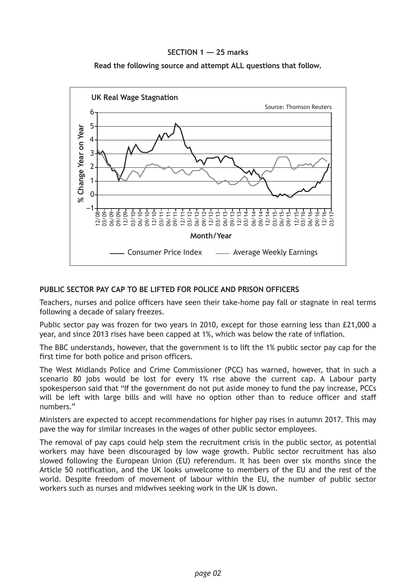## **SECTION 1 — 25 marks**





### **PUBLIC SECTOR PAY CAP TO BE LIFTED FOR POLICE AND PRISON OFFICERS**

Teachers, nurses and police officers have seen their take-home pay fall or stagnate in real terms following a decade of salary freezes.

Public sector pay was frozen for two years in 2010, except for those earning less than £21,000 a year, and since 2013 rises have been capped at 1%, which was below the rate of inflation.

The BBC understands, however, that the government is to lift the 1% public sector pay cap for the first time for both police and prison officers.

The West Midlands Police and Crime Commissioner (PCC) has warned, however, that in such a scenario 80 jobs would be lost for every 1% rise above the current cap. A Labour party spokesperson said that "If the government do not put aside money to fund the pay increase, PCCs will be left with large bills and will have no option other than to reduce officer and staff numbers."

Ministers are expected to accept recommendations for higher pay rises in autumn 2017. This may pave the way for similar increases in the wages of other public sector employees.

The removal of pay caps could help stem the recruitment crisis in the public sector, as potential workers may have been discouraged by low wage growth. Public sector recruitment has also slowed following the European Union (EU) referendum. It has been over six months since the Article 50 notification, and the UK looks unwelcome to members of the EU and the rest of the world. Despite freedom of movement of labour within the EU, the number of public sector workers such as nurses and midwives seeking work in the UK is down.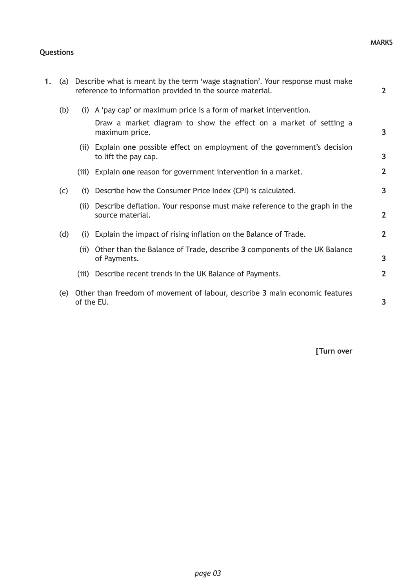#### **MARKS**

## **Questions**

| 1. | (a) |            | Describe what is meant by the term 'wage stagnation'. Your response must make<br>reference to information provided in the source material. | $\overline{2}$ |
|----|-----|------------|--------------------------------------------------------------------------------------------------------------------------------------------|----------------|
|    | (b) |            | (i) A 'pay cap' or maximum price is a form of market intervention.                                                                         |                |
|    |     |            | Draw a market diagram to show the effect on a market of setting a<br>maximum price.                                                        | 3              |
|    |     |            | (ii) Explain one possible effect on employment of the government's decision<br>to lift the pay cap.                                        | 3              |
|    |     | (iii)      | Explain one reason for government intervention in a market.                                                                                | $\overline{2}$ |
|    | (c) | (i)        | Describe how the Consumer Price Index (CPI) is calculated.                                                                                 | 3              |
|    |     | (iii)      | Describe deflation. Your response must make reference to the graph in the<br>source material.                                              | $\overline{2}$ |
|    | (d) | (i)        | Explain the impact of rising inflation on the Balance of Trade.                                                                            | $\overline{2}$ |
|    |     |            | (ii) Other than the Balance of Trade, describe 3 components of the UK Balance<br>of Payments.                                              | $\overline{3}$ |
|    |     |            | (iii) Describe recent trends in the UK Balance of Payments.                                                                                | $\overline{2}$ |
|    | (e) | of the EU. | Other than freedom of movement of labour, describe 3 main economic features                                                                | 3              |

**[Turn over**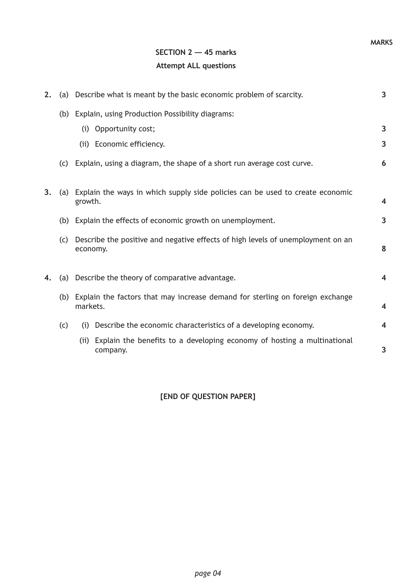# **SECTION 2 — 45 marks Attempt ALL questions**

| 2. |     | (a) Describe what is meant by the basic economic problem of scarcity.                         | $\overline{3}$          |
|----|-----|-----------------------------------------------------------------------------------------------|-------------------------|
|    |     | (b) Explain, using Production Possibility diagrams:                                           |                         |
|    |     | (i) Opportunity cost;                                                                         | 3                       |
|    |     | (ii) Economic efficiency.                                                                     | 3                       |
|    | (c) | Explain, using a diagram, the shape of a short run average cost curve.                        | 6                       |
| 3. | (a) | Explain the ways in which supply side policies can be used to create economic<br>growth.      |                         |
|    |     | (b) Explain the effects of economic growth on unemployment.                                   | 3                       |
|    | (c) | Describe the positive and negative effects of high levels of unemployment on an<br>economy.   | 8                       |
| 4. |     | (a) Describe the theory of comparative advantage.                                             | $\overline{\mathbf{4}}$ |
|    |     | (b) Explain the factors that may increase demand for sterling on foreign exchange<br>markets. |                         |
|    | (c) | (i) Describe the economic characteristics of a developing economy.                            | 4                       |
|    |     | Explain the benefits to a developing economy of hosting a multinational<br>(iii)<br>company.  | 3                       |

## **[END OF QUESTION PAPER]**